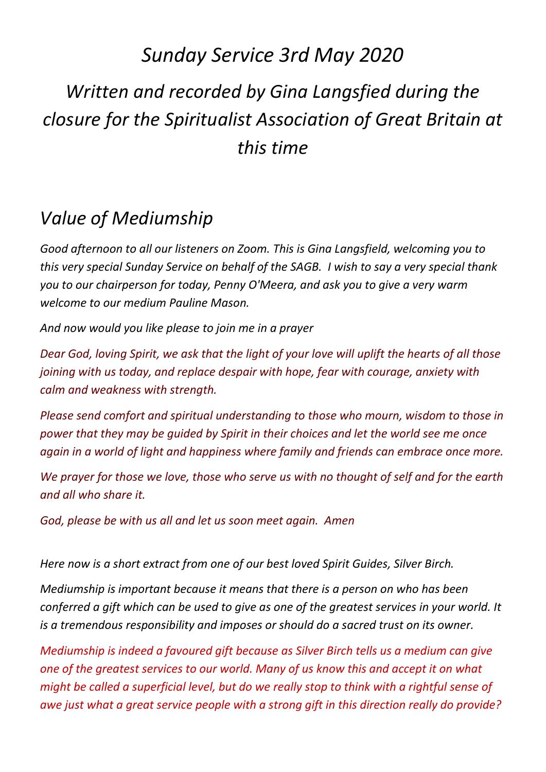## *Sunday Service 3rd May 2020 Written and recorded by Gina Langsfied during the closure for the Spiritualist Association of Great Britain at this time*

## *Value of Mediumship*

*Good afternoon to all our listeners on Zoom. This is Gina Langsfield, welcoming you to this very special Sunday Service on behalf of the SAGB. I wish to say a very special thank you to our chairperson for today, Penny O'Meera, and ask you to give a very warm welcome to our medium Pauline Mason.* 

*And now would you like please to join me in a prayer*

*Dear God, loving Spirit, we ask that the light of your love will uplift the hearts of all those joining with us today, and replace despair with hope, fear with courage, anxiety with calm and weakness with strength.*

*Please send comfort and spiritual understanding to those who mourn, wisdom to those in power that they may be guided by Spirit in their choices and let the world see me once again in a world of light and happiness where family and friends can embrace once more.*

*We prayer for those we love, those who serve us with no thought of self and for the earth and all who share it.* 

*God, please be with us all and let us soon meet again. Amen*

*Here now is a short extract from one of our best loved Spirit Guides, Silver Birch.*

*Mediumship is important because it means that there is a person on who has been conferred a gift which can be used to give as one of the greatest services in your world. It is a tremendous responsibility and imposes or should do a sacred trust on its owner.* 

*Mediumship is indeed a favoured gift because as Silver Birch tells us a medium can give one of the greatest services to our world. Many of us know this and accept it on what might be called a superficial level, but do we really stop to think with a rightful sense of awe just what a great service people with a strong gift in this direction really do provide?*